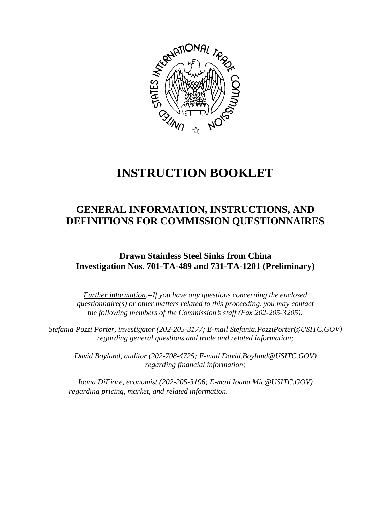

# **INSTRUCTION BOOKLET**

# **GENERAL INFORMATION, INSTRUCTIONS, AND DEFINITIONS FOR COMMISSION QUESTIONNAIRES**

**Drawn Stainless Steel Sinks from China Investigation Nos. 701-TA-489 and 731-TA-1201 (Preliminary)**

*Further information.--If you have any questions concerning the enclosed questionnaire(s) or other matters related to this proceeding, you may contact the following members of the Commission's staff (Fax 202-205-3205):* 

 *Stefania Pozzi Porter, investigator (202-205-3177; E-mail Stefania.PozziPorter@USITC.GOV) regarding general questions and trade and related information;* 

 *David Boyland, auditor (202-708-4725; E-mail David.Boyland@USITC.GOV) regarding financial information;* 

 *Ioana DiFiore, economist (202-205-3196; E-mail Ioana.Mic@USITC.GOV) regarding pricing, market, and related information.*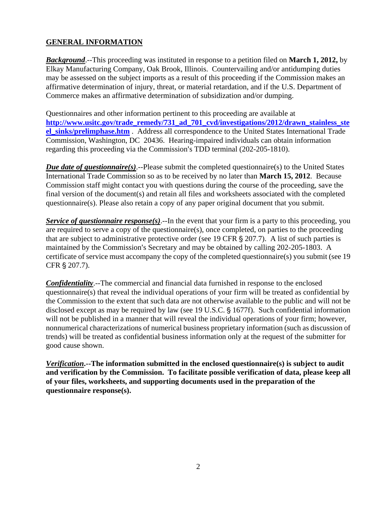## **GENERAL INFORMATION**

*Background*.--This proceeding was instituted in response to a petition filed on **March 1, 2012,** by Elkay Manufacturing Company, Oak Brook, Illinois. Countervailing and/or antidumping duties may be assessed on the subject imports as a result of this proceeding if the Commission makes an affirmative determination of injury, threat, or material retardation, and if the U.S. Department of Commerce makes an affirmative determination of subsidization and/or dumping.

Questionnaires and other information pertinent to this proceeding are available at **http://www.usitc.gov/trade\_remedy/731\_ad\_701\_cvd/investigations/2012/drawn\_stainless\_ste el\_sinks/prelimphase.htm** . Address all correspondence to the United States International Trade Commission, Washington, DC 20436. Hearing-impaired individuals can obtain information regarding this proceeding via the Commission's TDD terminal (202-205-1810).

*Due date of questionnaire(s)*.--Please submit the completed questionnaire(s) to the United States International Trade Commission so as to be received by no later than **March 15, 2012**. Because Commission staff might contact you with questions during the course of the proceeding, save the final version of the document(s) and retain all files and worksheets associated with the completed questionnaire(s). Please also retain a copy of any paper original document that you submit.

*Service of questionnaire response(s)*.--In the event that your firm is a party to this proceeding, you are required to serve a copy of the questionnaire(s), once completed, on parties to the proceeding that are subject to administrative protective order (see 19 CFR  $\S 207.7$ ). A list of such parties is maintained by the Commission's Secretary and may be obtained by calling 202-205-1803. A certificate of service must accompany the copy of the completed questionnaire(s) you submit (see 19 CFR  $\S 207.7$ ).

*Confidentiality*.--The commercial and financial data furnished in response to the enclosed questionnaire(s) that reveal the individual operations of your firm will be treated as confidential by the Commission to the extent that such data are not otherwise available to the public and will not be disclosed except as may be required by law (see  $19$  U.S.C.  $\S$  1677f). Such confidential information will not be published in a manner that will reveal the individual operations of your firm; however, nonnumerical characterizations of numerical business proprietary information (such as discussion of trends) will be treated as confidential business information only at the request of the submitter for good cause shown.

*Verification***.--The information submitted in the enclosed questionnaire(s) is subject to audit and verification by the Commission. To facilitate possible verification of data, please keep all of your files, worksheets, and supporting documents used in the preparation of the questionnaire response(s).**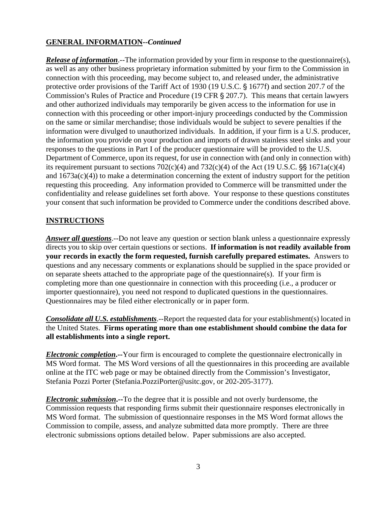### **GENERAL INFORMATION--***Continued*

*Release of information*.--The information provided by your firm in response to the questionnaire(s), as well as any other business proprietary information submitted by your firm to the Commission in connection with this proceeding, may become subject to, and released under, the administrative protective order provisions of the Tariff Act of 1930 (19 U.S.C. § 1677f) and section 207.7 of the Commission's Rules of Practice and Procedure (19 CFR § 207.7). This means that certain lawyers and other authorized individuals may temporarily be given access to the information for use in connection with this proceeding or other import-injury proceedings conducted by the Commission on the same or similar merchandise; those individuals would be subject to severe penalties if the information were divulged to unauthorized individuals. In addition, if your firm is a U.S. producer, the information you provide on your production and imports of drawn stainless steel sinks and your responses to the questions in Part I of the producer questionnaire will be provided to the U.S. Department of Commerce, upon its request, for use in connection with (and only in connection with) its requirement pursuant to sections  $702(c)(4)$  and  $732(c)(4)$  of the Act (19 U.S.C.  $\S$  $\$$  1671a(c)(4) and 1673a(c)(4)) to make a determination concerning the extent of industry support for the petition requesting this proceeding. Any information provided to Commerce will be transmitted under the confidentiality and release guidelines set forth above. Your response to these questions constitutes your consent that such information be provided to Commerce under the conditions described above.

#### **INSTRUCTIONS**

*Answer all questions*.--Do not leave any question or section blank unless a questionnaire expressly directs you to skip over certain questions or sections. **If information is not readily available from your records in exactly the form requested, furnish carefully prepared estimates.** Answers to questions and any necessary comments or explanations should be supplied in the space provided or on separate sheets attached to the appropriate page of the questionnaire(s). If your firm is completing more than one questionnaire in connection with this proceeding (i.e., a producer or importer questionnaire), you need not respond to duplicated questions in the questionnaires. Questionnaires may be filed either electronically or in paper form.

*Consolidate all U.S. establishments*.--Report the requested data for your establishment(s) located in the United States. **Firms operating more than one establishment should combine the data for all establishments into a single report.**

*Electronic completion***.--**Your firm is encouraged to complete the questionnaire electronically in MS Word format. The MS Word versions of all the questionnaires in this proceeding are available online at the ITC web page or may be obtained directly from the Commission's Investigator, Stefania Pozzi Porter (Stefania.PozziPorter@usitc.gov, or 202-205-3177).

*Electronic submission***.--**To the degree that it is possible and not overly burdensome, the Commission requests that responding firms submit their questionnaire responses electronically in MS Word format. The submission of questionnaire responses in the MS Word format allows the Commission to compile, assess, and analyze submitted data more promptly. There are three electronic submissions options detailed below. Paper submissions are also accepted.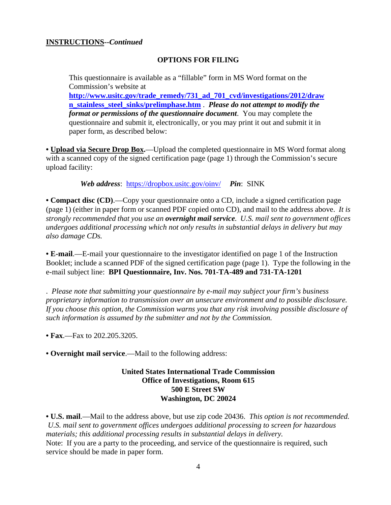#### **INSTRUCTIONS--***Continued*

#### **OPTIONS FOR FILING**

This questionnaire is available as a "fillable" form in MS Word format on the Commission's website at **http://www.usitc.gov/trade\_remedy/731\_ad\_701\_cvd/investigations/2012/draw n\_stainless\_steel\_sinks/prelimphase.htm** . *Please do not attempt to modify the format or permissions of the questionnaire document*. You may complete the questionnaire and submit it, electronically, or you may print it out and submit it in paper form, as described below:

**• Upload via Secure Drop Box.**—Upload the completed questionnaire in MS Word format along with a scanned copy of the signed certification page (page 1) through the Commission's secure upload facility:

*Web address*: https://dropbox.usitc.gov/oinv/ *Pin*: SINK

**• Compact disc (CD)**.—Copy your questionnaire onto a CD, include a signed certification page (page 1) (either in paper form or scanned PDF copied onto CD), and mail to the address above. *It is strongly recommended that you use an overnight mail service. U.S. mail sent to government offices undergoes additional processing which not only results in substantial delays in delivery but may also damage CDs.* 

**• E-mail**.—E-mail your questionnaire to the investigator identified on page 1 of the Instruction Booklet; include a scanned PDF of the signed certification page (page 1). Type the following in the e-mail subject line: **BPI Questionnaire, Inv. Nos. 701-TA-489 and 731-TA-1201**

. *Please note that submitting your questionnaire by e-mail may subject your firm's business proprietary information to transmission over an unsecure environment and to possible disclosure. If you choose this option, the Commission warns you that any risk involving possible disclosure of such information is assumed by the submitter and not by the Commission.* 

**• Fax**.—Fax to 202.205.3205.

**• Overnight mail service**.—Mail to the following address:

**United States International Trade Commission Office of Investigations, Room 615 500 E Street SW Washington, DC 20024**

**• U.S. mail**.—Mail to the address above, but use zip code 20436. *This option is not recommended. U.S. mail sent to government offices undergoes additional processing to screen for hazardous materials; this additional processing results in substantial delays in delivery.*  Note: If you are a party to the proceeding, and service of the questionnaire is required, such service should be made in paper form.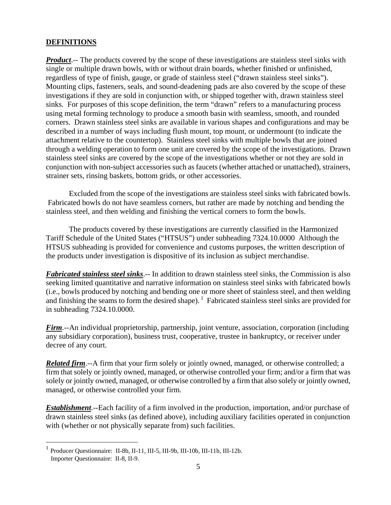#### **DEFINITIONS**

*Product*.-- The products covered by the scope of these investigations are stainless steel sinks with single or multiple drawn bowls, with or without drain boards, whether finished or unfinished, regardless of type of finish, gauge, or grade of stainless steel ("drawn stainless steel sinks"). Mounting clips, fasteners, seals, and sound-deadening pads are also covered by the scope of these investigations if they are sold in conjunction with, or shipped together with, drawn stainless steel sinks. For purposes of this scope definition, the term "drawn" refers to a manufacturing process using metal forming technology to produce a smooth basin with seamless, smooth, and rounded corners. Drawn stainless steel sinks are available in various shapes and configurations and may be described in a number of ways including flush mount, top mount, or undermount (to indicate the attachment relative to the countertop). Stainless steel sinks with multiple bowls that are joined through a welding operation to form one unit are covered by the scope of the investigations. Drawn stainless steel sinks are covered by the scope of the investigations whether or not they are sold in conjunction with non-subject accessories such as faucets (whether attached or unattached), strainers, strainer sets, rinsing baskets, bottom grids, or other accessories.

 Excluded from the scope of the investigations are stainless steel sinks with fabricated bowls. Fabricated bowls do not have seamless corners, but rather are made by notching and bending the stainless steel, and then welding and finishing the vertical corners to form the bowls.

 The products covered by these investigations are currently classified in the Harmonized Tariff Schedule of the United States ("HTSUS") under subheading 7324.10.0000 Although the HTSUS subheading is provided for convenience and customs purposes, the written description of the products under investigation is dispositive of its inclusion as subject merchandise.

*Fabricated stainless steel sinks*.-- In addition to drawn stainless steel sinks, the Commission is also seeking limited quantitative and narrative information on stainless steel sinks with fabricated bowls (i.e., bowls produced by notching and bending one or more sheet of stainless steel, and then welding and finishing the seams to form the desired shape).<sup>1</sup> Fabricated stainless steel sinks are provided for in subheading 7324.10.0000.

*Firm*.--An individual proprietorship, partnership, joint venture, association, corporation (including any subsidiary corporation), business trust, cooperative, trustee in bankruptcy, or receiver under decree of any court.

*Related firm*.--A firm that your firm solely or jointly owned, managed, or otherwise controlled; a firm that solely or jointly owned, managed, or otherwise controlled your firm; and/or a firm that was solely or jointly owned, managed, or otherwise controlled by a firm that also solely or jointly owned, managed, or otherwise controlled your firm.

*Establishment*.--Each facility of a firm involved in the production, importation, and/or purchase of drawn stainless steel sinks (as defined above), including auxiliary facilities operated in conjunction with (whether or not physically separate from) such facilities.

 $\overline{a}$ 

<sup>1</sup> Producer Questionnaire: II-8b, II-11, III-5, III-9b, III-10b, III-11b, III-12b. Importer Questionnaire: II-8, II-9.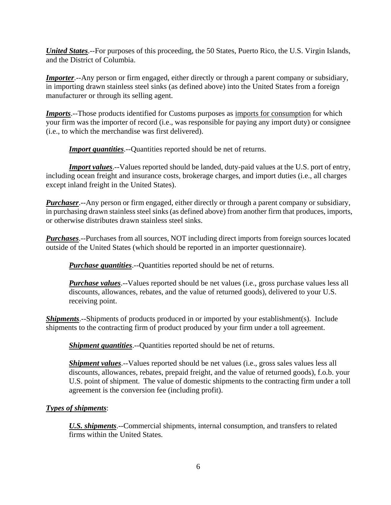*United States*.--For purposes of this proceeding, the 50 States, Puerto Rico, the U.S. Virgin Islands, and the District of Columbia.

*Importer.*--Any person or firm engaged, either directly or through a parent company or subsidiary, in importing drawn stainless steel sinks (as defined above) into the United States from a foreign manufacturer or through its selling agent.

*Imports*.--Those products identified for Customs purposes as imports for consumption for which your firm was the importer of record (i.e., was responsible for paying any import duty) or consignee (i.e., to which the merchandise was first delivered).

**Import quantities**.--Quantities reported should be net of returns.

*Import values*.--Values reported should be landed, duty-paid values at the U.S. port of entry, including ocean freight and insurance costs, brokerage charges, and import duties (i.e., all charges except inland freight in the United States).

*Purchaser*.--Any person or firm engaged, either directly or through a parent company or subsidiary, in purchasing drawn stainless steel sinks (as defined above) from another firm that produces, imports, or otherwise distributes drawn stainless steel sinks.

*Purchases*.--Purchases from all sources, NOT including direct imports from foreign sources located outside of the United States (which should be reported in an importer questionnaire).

*Purchase quantities*.--Quantities reported should be net of returns.

*Purchase values*.--Values reported should be net values (i.e., gross purchase values less all discounts, allowances, rebates, and the value of returned goods), delivered to your U.S. receiving point.

**Shipments**.--Shipments of products produced in or imported by your establishment(s). Include shipments to the contracting firm of product produced by your firm under a toll agreement.

*Shipment quantities*.--Quantities reported should be net of returns.

*Shipment values*.--Values reported should be net values (i.e., gross sales values less all discounts, allowances, rebates, prepaid freight, and the value of returned goods), f.o.b. your U.S. point of shipment. The value of domestic shipments to the contracting firm under a toll agreement is the conversion fee (including profit).

#### *Types of shipments*:

*U.S. shipments*.--Commercial shipments, internal consumption, and transfers to related firms within the United States.